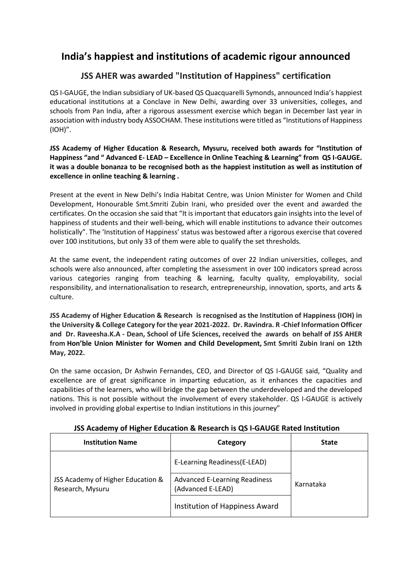## **India's happiest and institutions of academic rigour announced**

## **JSS AHER was awarded "Institution of Happiness" certification**

QS I-GAUGE, the Indian subsidiary of UK-based QS Quacquarelli Symonds, announced India's happiest educational institutions at a Conclave in New Delhi, awarding over 33 universities, colleges, and schools from Pan India, after a rigorous assessment exercise which began in December last year in association with industry body ASSOCHAM. These institutions were titled as "Institutions of Happiness (IOH)".

## **JSS Academy of Higher Education & Research, Mysuru, received both awards for "Institution of Happiness "and " Advanced E- LEAD – Excellence in Online Teaching & Learning" from QS I-GAUGE. it was a double bonanza to be recognised both as the happiest institution as well as institution of excellence in online teaching & learning .**

Present at the event in New Delhi's India Habitat Centre, was Union Minister for Women and Child Development, Honourable Smt.Smriti Zubin Irani, who presided over the event and awarded the certificates. On the occasion she said that "It is important that educators gain insights into the level of happiness of students and their well-being, which will enable institutions to advance their outcomes holistically". The 'Institution of Happiness' status was bestowed after a rigorous exercise that covered over 100 institutions, but only 33 of them were able to qualify the set thresholds.

At the same event, the independent rating outcomes of over 22 Indian universities, colleges, and schools were also announced, after completing the assessment in over 100 indicators spread across various categories ranging from teaching & learning, faculty quality, employability, social responsibility, and internationalisation to research, entrepreneurship, innovation, sports, and arts & culture.

**JSS Academy of Higher Education & Research is recognised as the Institution of Happiness (IOH) in the University & College Category for the year 2021-2022. Dr. Ravindra. R -Chief Information Officer and Dr. Raveesha.K.A - Dean, School of Life Sciences, received the awards on behalf of JSS AHER from Hon'ble Union Minister for Women and Child Development, Smt Smriti Zubin Irani on 12th May, 2022.**

On the same occasion, Dr Ashwin Fernandes, CEO, and Director of QS I-GAUGE said, "Quality and excellence are of great significance in imparting education, as it enhances the capacities and capabilities of the learners, who will bridge the gap between the underdeveloped and the developed nations. This is not possible without the involvement of every stakeholder. QS I-GAUGE is actively involved in providing global expertise to Indian institutions in this journey"

| <b>Institution Name</b>                               | Category                                                  | <b>State</b> |
|-------------------------------------------------------|-----------------------------------------------------------|--------------|
| JSS Academy of Higher Education &<br>Research, Mysuru | E-Learning Readiness (E-LEAD)                             | Karnataka    |
|                                                       | <b>Advanced E-Learning Readiness</b><br>(Advanced E-LEAD) |              |
|                                                       | Institution of Happiness Award                            |              |

## **JSS Academy of Higher Education & Research is QS I-GAUGE Rated Institution**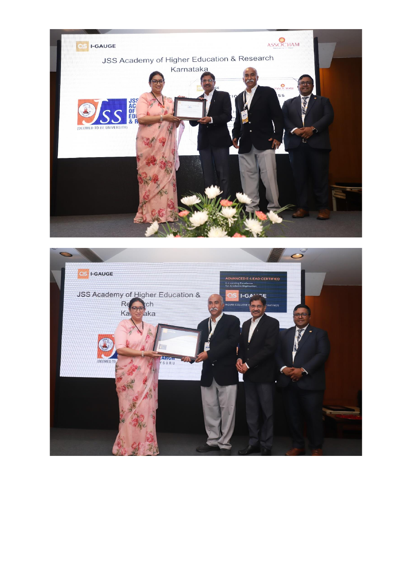